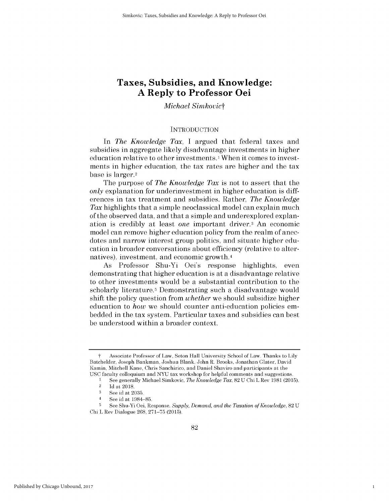# **Taxes, Subsidies, and Knowledge: A Reply to Professor Oei**

## *Michael Simkovict*

## **INTRODUCTION**

*In The Knowledge Tax,* **I** argued that federal taxes and subsidies in aggregate likely disadvantage investments in higher education relative to other investments.<sup>1</sup> When it comes to investments in higher education, the tax rates are higher and the tax base is larger.2

The purpose of *The Knowledge Tax is* not to assert that the *only* explanation for underinvestment in higher education is **diff**erences in tax treatment and subsidies. Rather, *The Knowledge Tax* highlights that a simple neoclassical model can explain much of the observed data, and that a simple and underexplored explanation is credibly at least *one* important driver.3 An economic model can remove higher education policy from the realm of anecdotes and narrow interest group politics, and situate higher education in broader conversations about efficiency (relative to alternatives), investment, and economic growth.4

As Professor Shu-Yi Oei's response highlights, even demonstrating that higher education is at a disadvantage relative to other investments would be a substantial contribution to the scholarly literature.<sup>5</sup> Demonstrating such a disadvantage would shift the policy question from *whether* we should subsidize higher education to *how* we should counter anti-education policies embedded in the tax system. Particular taxes and subsidies can best be understood within a broader context.

1

t Associate Professor of Law, Seton Hall University School of Law. Thanks to Lily Batchelder, Joseph Bankman, Joshua Blank, John R. Brooks, Jonathan Glater, David Kamin, Mitchell Kane, Chris Sanchirico, and Daniel Shaviro and participants at the **USC** faculty colloquium and **NYU** tax workshop for helpful comments and suggestions.

**I See** generally Michael Simkovic, *The Knowledge Tax,* **82 U** Chi L Rev **1981 (2015).**

<sup>2</sup>**Id** at **2018.**

**<sup>3</sup>See** id at **2035.**

<sup>4</sup>**See** id at **1984-85.**

**<sup>5</sup>** See Shu-Yi Oei, Response, *Supply, Demand, and the Taxation of Knowledge,* **82 U** Chi L Rev Dialogue **268, 271-75 (2015).**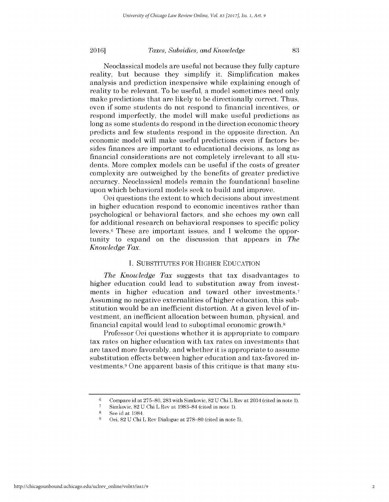## *Taxes, Subsidies, and Knowledge* **20161 83**

Neoclassical models are useful not because they fully capture reality, but because they simplify it. Simplification makes analysis and prediction inexpensive while explaining enough of reality to be relevant. To be useful, a model sometimes need only make predictions that are likely to be directionally correct. Thus, even **if** some students do not respond to financial incentives, or respond imperfectly, the model will make useful predictions as long as some students do respond in the direction economic theory predicts and few students respond in the opposite direction. An economic model will make useful predictions even **if** factors besides finances are important to educational decisions, as long as financial considerations are not completely irrelevant to all students. More complex models can be useful **if** the costs of greater complexity are outweighed **by** the benefits of greater predictive accuracy. Neoclassical models remain the foundational baseline

Oei questions the extent to which decisions about investment in higher education respond to economic incentives rather than psychological or behavioral factors, and she echoes my own call for additional research on behavioral responses to specific policy levers.6 These are important issues, and **I** welcome the opportunity to expand on the discussion that appears in *The Knowledge Tax.*

upon which behavioral models seek to build and improve.

## **I. SUBSTITUTES** FOR HIGHER **EDUCATION**

*The Knowledge Tax* suggests that tax disadvantages to higher education could lead to substitution away from investments in higher education and toward other investments.7 Assuming no negative externalities of higher education, this substitution would be an inefficient distortion. At a given level of investment, an inefficient allocation between human, physical, and financial capital would lead to suboptimal economic growth.8

Professor Oei questions whether it is appropriate to compare tax rates on higher education with tax rates on investments that are taxed more favorably, and whether it is appropriate to assume substitution effects between higher education and tax-favored investments.9 One apparent basis of this critique is that many stu-

**<sup>6</sup>**Compare id at **275-80, 283** with Simkovic, **82 U** Chi L Rev at 2034 (cited in note **1).**

**<sup>7</sup>** Simkovic, **82 U** Chi L Rev at **1983-84** (cited in note **1).**

**<sup>8</sup>See** id at 1984.

**<sup>9</sup>**Oei, **82 U** Chi L Rev Dialogue at **278-80** (cited in note **5).**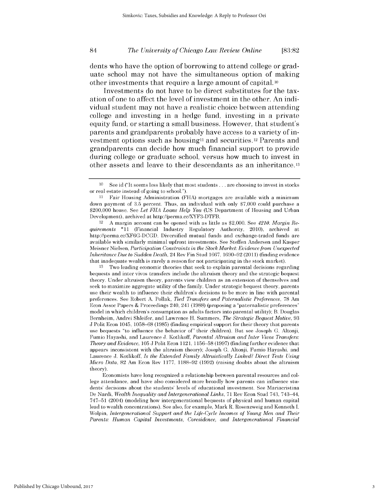dents who have the option of borrowing to attend college or graduate school may not have the simultaneous option of making other investments that require a large amount of capital. **<sup>10</sup>**

Investments do not have to be direct substitutes for the taxation of one to affect the level of investment in the other. An individual student may not have a realistic choice between attending college and investing in a hedge fund, investing in a private equity fund, or starting a small business. However, that student's parents and grandparents probably have access to a variety of investment options such as housingli and securities.12 Parents and grandparents can decide how much financial support to provide during college or graduate school, versus how much to invest in other assets and leave to their descendants as an inheritance.13

12 **A** margin account can **be** opened with as little as \$2,000. **See** *4210. Margin Requirements* **\*11** (Financial Industry Regulatory Authority, 2010), archived at http://perma.cc/XF6G-DCGD. Diversified mutual funds and exchange-traded funds are available with similarly minimal upfront investments. **See** Steffen Andersen and Kasper Meisner Nielsen, *Participation Constraints in the Stock Market: Evidence from Unexpected Inheritance Due to Sudden Death,* 24 Rev Fin Stud **1667, 1690-92 (2011)** (finding evidence that inadequate wealth is rarely a reason for not participating in the stock market).

**<sup>13</sup>**Two leading economic theories that seek to explain parental decisions regarding bequests and inter vivos transfers include the altruism theory and the strategic bequest theory. Under altruism theory, parents view children as an extension of themselves and seek to maximize aggregate utility of the family. Under strategic bequest theory, parents use their wealth to influence their children's decisions to **be** more in line with parental preferences. **See** Robert **A.** Pollak, *Tied Transfers and Paternalistic Preferences,* **78** Am Econ Assoc Papers **&** Proceedings 240, 241 **(1988)** (proposing a "paternalistic preferences" model in which children's consumption as adults factors into parental utility); B. Douglas Bernheim, Andrei Shleifer, and Lawrence H. Summers, *The Strategic Bequest Motive,* **93 J** Polit Econ 1045, **1058-68 (1985)** (finding empirical support for their theory that parents **use** bequests "to influence the behavior of" their children). But see Joseph **G.** Altonji, Fumio Hayashi, and Laurence **J.** Kotlikoff, *Parental Altruism and Inter Vivos Transfers: Theory and Evidence,* **105 J** Polit Econ 1121, **1156-58 (1997)** (finding further evidence that appears inconsistent with the altruism theory); Joseph **G.** Altonji, Fumio Hayashi, and Laurence **J.** Kotlikoff, *Is the Extended Family Altruistically Linked? Direct Tests Using Micro Data,* **82** Am Econ Rev **1177, 1188-92 (1992)** (raising doubts about the altruism theory).

Economists have long recognized a relationship between parental resources and col**lege** attendance, and have also considered more broadly how parents can influence students' decisions about the students' levels of educational investment. **See** Mariacristina De Nardi, *Wealth Inequality and Intergenerational Links,* **71** Rev Econ Stud 743, 743-44, **747-51** (2004) (modeling how intergenerational bequests of physical and human capital lead to wealth concentrations). **See** also, for example, Mark R. Rosenzweig and Kenneth I. Wolpin, *Intergenerational Support and the Life-Cycle Incomes of Young Men and Their Parents: Human Capital Investments, Coresidence, and Intergenerational Financial*

**<sup>10</sup>See** id ("It seems less **likely** that most students **...** are choosing to invest in stocks or real estate instead of going to school.").

**<sup>11</sup>**Fair Housing Administration **(FHA)** mortgages are available with a minimum down payment of **3.5** percent. Thus, an individual with only **\$7,000** could purchase a \$200,000 house. **See** *Let FHA Loans Help You* **(US** Department of Housing and Urban Development), archived at http://perma.cc/XYF3-DTFB.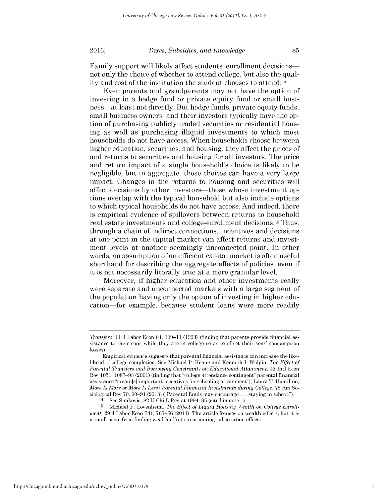## *Taxes, Subsidies, and Knowledge* **20161 85**

Family support will likely affect students' enrollment decisions not only the choice of whether to attend college, but also the quality and cost of the institution the student chooses to attend. <sup>14</sup>

Even parents and grandparents may not have the option of investing in a hedge fund or private equity fund or small business-at least not directly. But hedge funds, private equity funds, small business owners, and their investors typically have the option of purchasing publicly traded securities or residential housing as well as purchasing illiquid investments to which most households do not have access. When households choose between higher education, securities, and housing, they affect the prices of and returns to securities and housing for all investors. The price and return impact of a single household's choice is likely to be negligible, but in aggregate, those choices can have a very large impact. Changes in the returns to housing and securities will affect decisions **by** other investors-those whose investment options overlap with the typical household but also include options to which typical households do not have access. And indeed, there is empirical evidence of spillovers between returns to household real estate investments and college-enrollment decisions. 15Thus, through a chain of indirect connections, incentives and decisions at one point in the capital market can affect returns and investment levels at another seemingly unconnected point. In other words, an assumption of an efficient capital market is often useful shorthand for describing the aggregate effects of policies, even **if** it is not necessarily literally true at a more granular level.

Moreover, **if** higher education and other investments really were separate and unconnected markets with a large segment of the population having only the option of investing in higher education-for example, because student loans were more readily

*Transfers,* 11 **J** Labor Econ 84, **109-11 (1993)** (finding that parents provide financial assistance to their sons while they are in college so as to offset their sons' consumption **losses).**

Empirical evidence suggests that parental financial assistance can increase the likelihood of college completion. **See** Michael P. Keane and Kenneth **I.** Wolpin, *The Effect of Parental Transfers and Borrowing Constraints on Educational Attainment,* 42 Intl Econ Rev **1051, 1087-93** (2001) (finding that "college attendance contingent" parental financial assistance "create[s] important incentives for schooling attainment"); Laura T. Hamilton, *More Is More or More Is Less? Parental Financial Investments during College,* **78** Am Sociological Rev **70, 90-91 (2013)** ("Parental funds may encourage **...** staying in school.").

<sup>14</sup>See Simkovic, **82 U** Chi L Rev at **1994-95** (cited in note **1).**

**<sup>15</sup>** Michael F. Lovenheim, *The Effect of Liquid Housing Wealth on College Enrollment,* **29 J** Labor Econ 741, **765-66 (2011).** The article focuses on wealth effects, but **it** is a small move from finding wealth effects to assuming substitution effects.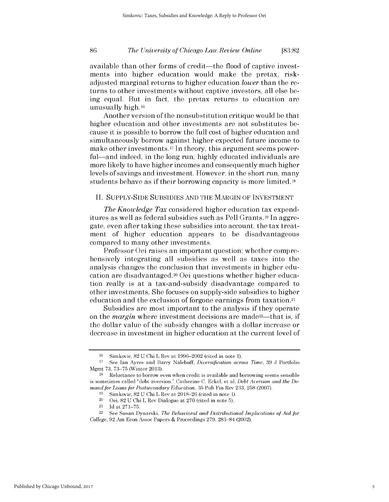available than other forms of credit—the flood of captive investments into higher education would make the pretax, riskadjusted marginal returns to higher education *lower* than the returns to other investments without captive investors, all else being equal. But in fact, the pretax returns to education are unusually **high. <sup>16</sup>**

Another version of the nonsubstitution critique would be that higher education and other investments are not substitutes because it is possible to borrow the full cost of higher education and simultaneously borrow against higher expected future income to make other investments.17 In theory, this argument seems powerful-and indeed, in the long run, **highly** educated individuals are more likely to have higher incomes and consequently much higher levels of savings and investment. However, in the short run, many students behave as **if** their borrowing capacity is more limited. **<sup>18</sup>**

## **II. SUPPLY-SIDE SUBSIDIES AND** THE MARGIN OF **INVESTMENT**

*The Knowledge Tax* considered higher education tax expenditures as well as federal subsidies such as Pell Grants.19 In aggregate, even after taking these subsidies into account, the tax treatment of higher education appears to be disadvantageous compared to many other investments.

Professor Oei raises an important question: whether comprehensively integrating all subsidies as well as taxes into the analysis changes the conclusion that investments in higher education are disadvantaged.<sup>20</sup> Oei questions whether higher education really is at a tax-and-subsidy disadvantage compared to other investments. She focuses on supply-side subsidies to higher education and the exclusion of forgone earnings from taxation.21

Subsidies are most important to the analysis **if** they operate on the *margin* where investment decisions are made22-that is, **if** the dollar value of the subsidy changes with a dollar increase or decrease in investment in higher education at the current level of

**<sup>16</sup>**Simkovic, **82 U** Chi L Rev at **1996-2002** (cited in note **1).**

**<sup>17</sup>See** Ian Ayres and Barry Nalebuff, *Diversification across Time,* **39 J** Portfolio Mgmt **73, 73-75** (Winter **2013).**

**<sup>18</sup>**Reluctance to borrow even when credit is available and borrowing seems sensible is sometimes called "debt aversion." Catherine **C. Eckel,** et al, *Debt Aversion and the Demand for Loans for Postsecondary Education,* **35** Pub Fin Rev **233, 258 (2007).**

**<sup>19</sup>**Simkovic, **82 U** Chi L Rev at **2018-26** (cited in note **1).**

<sup>20</sup> Oei,  $82$  U Chi L Rev Dialogue at 270 (cited in note 5).<br>
<sup>21</sup> Id at  $271-75$ 

<sup>21</sup>**Id** at **271-75.**

<sup>&</sup>lt;sup>22</sup> See Susan Dynarski, *The Behavioral and Distributional Implications of Aid for College,* **92** Am Econ Assoc Papers **&** Proceedings **279, 283-84** (2002).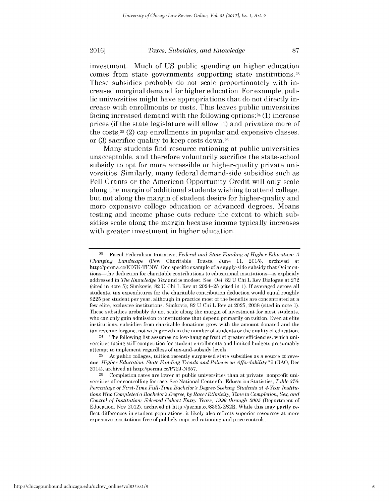#### **<sup>20161</sup>** *Taxes, Subsidies, and Knowledge* **87**

investment. Much of **US** public spending on higher education comes from state governments supporting state institutions.23 These subsidies probably do not scale proportionately with increased marginal demand for higher education. For example, public universities might have appropriations that do not directly increase with enrollments or costs. This leaves public universities facing increased demand with the following options:24 **(1)** increase prices **(if** the state legislature will allow it) and privatize more of the costs,  $2^5$  (2) cap enrollments in popular and expensive classes, or **(3)** sacrifice quality to keep costs down.26

Many students find resource rationing at public universities unacceptable, and therefore voluntarily sacrifice the state-school subsidy to opt for more accessible or higher-quality private universities. Similarly, many federal demand-side subsidies such as Pell Grants or the American Opportunity Credit will only scale along the margin of additional students wishing to attend college, but not along the margin of student desire for higher-quality and more expensive college education or advanced degrees. Means testing and income phase outs reduce the extent to which subsidies scale along the margin because income typically increases with greater investment in higher education.

24 The following list assumes no low-hanging fruit of greater efficiencies, which universities facing stiff competition for student enrollments and limited budgets presumably attempt to implement regardless of tax-and-subsidy levels.

**<sup>23</sup>**Fiscal Federalism Initiative, *Federal and State Funding of Higher Education: <sup>A</sup> Changing Landscape* (Pew Charitable Trusts, June **11, 2015),** archived at http://perma.cc/ED7K-TFNW. One specific example of a supply-side subsidy that Oei mentions-the deduction for charitable contributions to educational institutions-is explicitly addressed in *The Knowledge Tax* and is modest. **See,** Oei, **82 U** Chi L Rev Dialogue at **272** (cited in note **5);** Simkovic, **82 U** Chi L Rev at 2024-25 (cited in **1). If** averaged across all students, tax expenditures for the charitable contribution deduction would equal roughly **\$225** per student per year, although in practice most of the benefits are concentrated at a few elite, exclusive institutions. Simkovic, **82 U** Chi L Rev at **2025, 2038** (cited in note **1).** These subsidies probably do not scale along the margin of investment for most students, who can only gain admission to institutions that depend primarily on tuition. Even at elite institutions, subsidies from charitable donations grow with the amount donated and the tax revenue forgone, not with growth in the number of students or the quality of education.

**<sup>25</sup>** At public colleges, tuition recently surpassed state subsidies as a source of reve*nue. Higher Education: State Funding Trends and Policies on Affordability* **\*9 (GAO, Dec** 2014), archived at http://perma.cc/P72J-N657.

**<sup>26</sup>** Completion rates are lower at public universities than at private, nonprofit universities after controlling for race. **See** National Center for Education Statistics, *Table 376: Percentage of First-Time Full-Time Bachelor's Degree-Seeking Students at 4-Year Institutions Who Completed a Bachelor's Degree, by Race/Ethnicity, Time to Completion, Sex, and Control of Institution; Selected Cohort Entry Years, 1996 through 2005* (Department of Education, Nov 2012), archived at http://perma.cc/836X-ZS2R. While this may partly reflect differences in student populations, it **likely** also reflects superior resources at more expensive institutions free of publicly imposed rationing and price controls.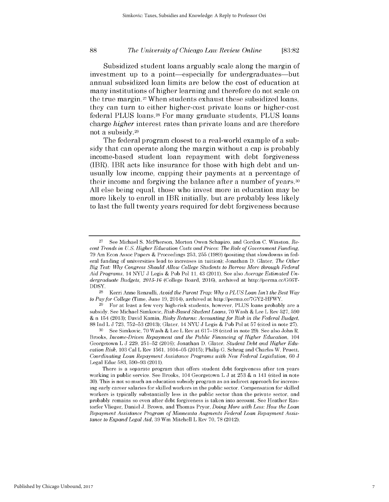Subsidized student loans arguably scale along the margin of investment up to a point—especially for undergraduates—but annual subsidized loan limits are below the cost of education at many institutions of higher learning and therefore do not scale on the true margin.27 When students exhaust these subsidized loans, they can turn to either higher-cost private loans or higher-cost federal **PLUS** loans.28 For many graduate students, **PLUS** loans *charge higher* interest rates than private loans and are therefore not a subsidy.29

The federal program closest to a real-world example of a subsidy that can operate along the margin without a cap is probably income-based student loan repayment with debt forgiveness (IBR). IBR acts like insurance for those with **high** debt and unusually low income, capping their payments at a percentage of their income and forgiving the balance after a number of years. <sup>30</sup> **All** else being equal, those who invest more in education may be more likely to enroll in IBR initially, but are probably less likely to last the full twenty years required for debt forgiveness because

**<sup>27</sup>** See Michael **S.** McPherson, Morton Owen Schapiro, and Gordon **C.** Winston, *Recent Trends in U.S. Higher Education Costs and Prices: The Role of Government Funding,* **79** Am Econ Assoc Papers **&** Proceedings **253, 255 (1989)** (positing that slowdowns in **fed**eral funding of universities lead to increases in tuition); Jonathan **D.** Glater, *The Other Big Test: Why Congress Should Allow College Students to Borrow More through Federal Aid Programs,* 14 **NYU J** Legis **&** Pub Pol **11,** 43 **(2011). See** also *Average Estimated Undergraduate Budgets, 2015-16* (College Board, 2016), archived at http://perma.cc/G66T- $\begin{array}{c}\text{DDSY}\\\textcolor{blue}{28}\end{array}$ 

**<sup>28</sup>**Kerri Anne Renzulli, *Avoid the Parent Trap: Why a PLUS Loan Isn't the Best Way to Pay for College* (Time, June **19,** 2014), archived at http://perma.cc/7GY2-HFWY.

**<sup>29</sup>**For at least a few very high-risk students, however, **PLUS** loans probably are a subsidy. **See** Michael Simkovic, *Risk-Based Student Loans,* **70** Wash **&** Lee L Rev **527, 590 &** n 154 **(2013);** David Kamin, *Risky Returns: Accounting for Risk in the Federal Budget,* **88** Ind L **J 723, 752-53 (2013);** Glater, 14 **NYU J** Legis **&** Pub Pol at **57** (cited in note **27).**

**<sup>30</sup> See** Simkovic, **70** Wash **&** Lee L Rev at **617-18** (cited in note **29). See** also John R. Brooks, *Income-Driven Repayment and the Public Financing of Higher Education, 104* Georgetown L **J 229, 251-52** (2016); Jonathan **D.** Glater, *Student Debt and Higher Education Risk,* **103** Cal L Rev **1561,** 1604-05 **(2015);** Philip **G.** Schrag and Charles W. Pruett, *Coordinating Loan Repayment Assistance Programs with New Federal Legislation, 60* **J** Legal Educ **583, 590-93 (2011).**

There is a separate program that offers student debt forgiveness after ten years working in public service. **See** Brooks, 104 Georgetown L **J** at **253 &** n 141 (cited in note **30).** This is not so much an education subsidy program as an indirect approach for increasing early career salaries for skilled workers in the public sector. Compensation for skilled workers is typically substantially less in the public sector than the private sector, and probably remains so even after debt forgiveness is taken into account. **See** Heather Rastorfer Vlieger, Daniel **J.** Brown, and Thomas Pryor, *Doing More with Less: How the Loan Repayment Assistance Program of Minnesota Augments Federal Loan Repayment Assistance to Expand Legal Aid,* **39** Wm Mitchell L Rev **70, 78** (2012).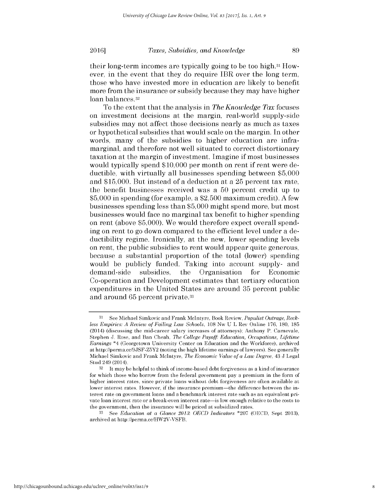their long-term incomes are typically going to be too **high.31** However, in the event that they do require IBR over the long term, those who have invested more in education are likely to benefit more from the insurance or subsidy because they may have higher loan balances.<sup>32</sup>

To the extent that the analysis in *The Knowledge Tax* focuses on investment decisions at the margin, real-world supply-side subsidies may not affect those decisions nearly as much as taxes or hypothetical subsidies that would scale on the margin. In other words, many of the subsidies to higher education are inframarginal, and therefore not well situated to correct distortionary taxation at the margin of investment. Imagine **if** most businesses would typically spend **\$10,000** per month on rent **if** rent were deductible, with virtually all businesses spending between **\$5,000** and **\$15,000.** But instead of a deduction at a **25** percent tax rate, the benefit businesses received was a **50** percent credit up to **\$5,000** in spending (for example, a **\$2,500** maximum credit). **A** few businesses spending less than **\$5,000** might spend more, but most businesses would face no marginal tax benefit to higher spending on rent (above **\$5,000).** We would therefore expect overall spending on rent to go down compared to the efficient level under a deductibility regime. Ironically, at the new, lower spending levels on rent, the public subsidies to rent would appear quite generous, because a substantial proportion of the total (lower) spending would be publicly funded. Taking into account supply- and demand-side subsidies, the Organisation for Economic Co-operation and Development estimates that tertiary education expenditures in the United States are around **35** percent public and around **65** percent private.33

**<sup>31</sup>** See Michael Simkovic and Frank McIntyre, Book Review, *Populist Outrage, Reckless Empirics: A Review of Failing Law Schools,* **108** Nw **U** L Rev Online **176, 180, 185** (2014) (discussing the mid-career salary increases of attorneys); Anthony P. Carnevale, Stephen J. Rose, and Ban Cheah, *The College Payoff: Education, Occupations, Lifetime Earnings* \*4 (Georgetown University Center on Education and the Workforce), archived at http://perma.cc/9JSF-Z5Y2 (noting the high lifetime earnings of lawyers). **See** generally Michael Simkovic and Frank McIntyre, *The Economic Value of a Law Degree,* 43 **J** Legal Stud 249 (2014).

**<sup>32</sup>**It **maybe** helpful to think of income-based debt forgiveness as a kind of insurance for which those who borrow from the federal government pay a premium in the form of higher interest rates, since private loans without debt forgiveness are often available at lower interest rates. However, if the insurance premium-the difference between the interest rate on government loans and a benchmark interest rate such as an equivalent private loan interest rate or a break-even interest rate-is low enough relative to the costs to the government, then the insurance will **be** priced at subsidized rates.

**<sup>33</sup> See** *Education at a Glance 2013: OECD Indicators* **\*207 (OECD,** Sept **2013),** archived at http://perma.cc/HW2V-VSFB.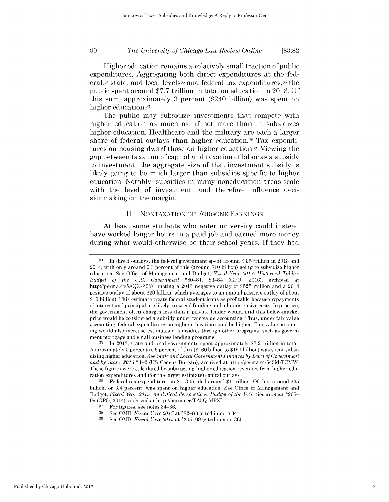Higher education remains a relatively small fraction of public expenditures. Aggregating both direct expenditures at the federal,<sup>34</sup> state, and local levels<sup>35</sup> and federal tax expenditures,<sup>36</sup> the public spent around **\$7.7** trillion in total on education in **2013. Of** this sum, approximately **3** percent (\$240 billion) was spent on higher education.<sup>37</sup>

The public may subsidize investments that compete with higher education as much as, **if** not more than, it subsidizes higher education. Healthcare and the military are each a larger share of federal outlays than higher education.<sup>38</sup> Tax expenditures on housing dwarf those on higher education.<sup>39</sup> Viewing the gap between taxation of capital and taxation of labor as a subsidy to investment, the aggregate size of that investment subsidy **is** likely going to be much larger than subsidies specific to higher education. Notably, subsidies in many noneducation areas scale with the level of investment, and therefore influence decisionmaking on the margin.

## III. **NONTAXATION** OF **FORGONE EARNINGS**

At least some students who enter university could instead have worked longer hours in a paid job and earned more money during what would otherwise be their school years. **If** they had

**<sup>39</sup>See** OMB, *Fiscal Year 2015* at **\*205-09** (cited in note **36).**

<sup>34</sup>In direct outlays, the federal government spent around **\$3.5** trillion in **2013** and 2014, with only around **0.3** percent of this (around **\$10** billion) going to subsidize higher education. **See Office** of Management and Budget, *Fiscal Year 2017: Historical Tables; Budget of the U.S. Government* **\*80-81, 83-84 (GPO,** 2016), archived at http://perma.cc/5AQQ-Z9YC (noting a **2013** negative outlay of **\$525** million and a 2014 positive outlay of about \$20 billion, which averages to an annual positive outlay of about **\$10** billion). This estimate treats federal student loans as profitable because repayments of interest and principal are **likely** to exceed funding and administrative costs. In practice, the government often charges less than a private lender would, and this below-market price would **be** considered a subsidy under fair value accounting. Thus, under fair value accounting, federal expenditures on higher education could **be** higher. Fair value accounting would also increase estimates of subsidies through other programs, such as government mortgage and small business lending programs.

**<sup>35</sup>**In **2013,** state and local governments spent approximately **\$3.2** trillion in total. Approximately **5** percent to **6** percent of this **(\$160** billion to **\$190** billion) was spent subsidizing higher education. **See** *State and Local Government Finances by Level of Government and by State: 2013* \*1-2 **(US** Census Bureau), archived at http://perma.cc/549M-TCMW. These figures were calculated **by** subtracting higher education revenues from higher education expenditures and (for the larger estimate) capital outlays.

**<sup>36</sup>**Federal tax expenditures in **2013** totaled around **\$1** trillion. **Of** this, around **\$35** billion, or 3.4 percent, was spent on higher education. **See Office** of Management and Budget, *Fiscal Year 2015: Analytical Perspectives; Budget of the U.S. Government* **\*205- 09 (GPO,** 2014), archived at http://perma.cc/TA5Q-MPXL.

<sup>&</sup>lt;sup>37</sup> For figures, see notes  $34-36$ .<br><sup>38</sup> See OMB *Fiscal Year*  $2017$ 

**<sup>38</sup>See** OMB, *Fiscal Year 2017* at **\*82-83** (cited in note 34).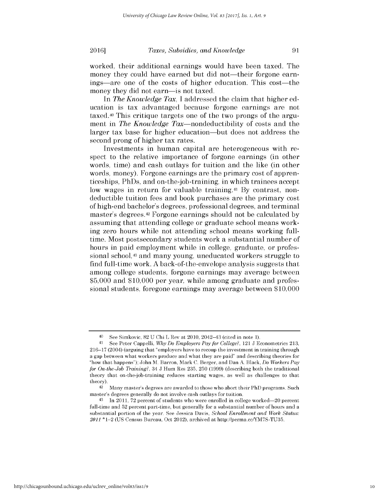worked, their additional earnings would have been taxed. The money they could have earned but did not—their forgone earnings-are one of the costs of higher education. This cost-the money they did not earn-is not taxed.

*In The Knowledge Tax,* **I** addressed the claim that higher education is tax advantaged because forgone earnings are not taxed.40 This critique targets one of the two prongs of the argument in *The Knowledge Tax*—nondeductibility of costs and the larger tax base for higher education-but does not address the second prong of higher tax rates.

Investments in human capital are heterogeneous with respect to the relative importance of forgone earnings (in other words, time) and cash outlays for tuition and the like (in other words, money). Forgone earnings are the primary cost of apprenticeships, PhDs, and on-the-job-training, in which trainees accept low wages in return for valuable training.41 **By** contrast, nondeductible tuition fees and book purchases are the primary cost of high-end bachelor's degrees, professional degrees, and terminal master's degrees.42 Forgone earnings should not be calculated **by** assuming that attending college or graduate school means working zero hours while not attending school means working fulltime. Most postsecondary students work a substantial number of hours in paid employment while in college, graduate, or professional school,<sup>43</sup> and many young, uneducated workers struggle to find full-time work. **A** back-of-the-envelope analysis suggests that among college students, forgone earnings may average between **\$5,000** and **\$10,000** per year, while among graduate and professional students, foregone earnings may average between **\$10,000**

<sup>40</sup> See Simkovic, **82 U** Chi L Rev at 2010, 2042-43 (cited in note **1).**

<sup>41</sup> See Peter Cappelli, *Why Do Employers Pay for College?,* 121 **J** Econometrics **213, 216-17** (2004) (arguing that "employers have to recoup the investment in training through a gap between what workers produce and what they are paid" and describing theories for "how that happens"); John M. Barron, Mark **C.** Berger, and Dan **A.** Black, *Do Workers Pay for On-the-Job Training?,* 34 **J** Hum Res **235, 250 (1999)** (describing both the traditional theory that on-the-job-training reduces starting wages, as well as challenges to that theory).

Many master's degrees are awarded to those who abort their PhD programs. Such master's degrees generally do not involve cash outlays for tuition.

<sup>&</sup>lt;sup>43</sup> In 2011, 72 percent of students who were enrolled in college worked-20 percent full-time and **52** percent part-time, but generally for a substantial number of hours and a substantial portion of the year. **See** Jessica Davis, *School Enrollment and Work Status: 2011* \*1-2 **(US** Census Bureau, Oct 2012), archived at http://perma.cc/YM7S-TU35.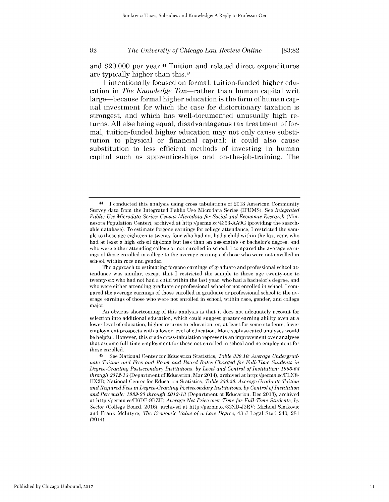and \$20,000 per year.<sup>44</sup> Tuition and related direct expenditures are typically higher than this.45

**I** intentionally focused on formal, tuition-funded higher education in *The Knowledge Tax*—rather than human capital writ large-because formal higher education is the form of human capital investment for which the case for distortionary taxation **is** strongest, and which has well-documented unusually **high** returns. **All** else being equal, disadvantageous tax treatment of formal, tuition-funded higher education may not only cause substitution to physical or financial capital; it could also cause substitution to less efficient methods of investing in human capital such as apprenticeships and on-the-job-training. The

<sup>44</sup> I conducted this analysis using cross tabulations of **2013** American Community Survey data from the Integrated Public Use Microdata Series **(IPUMS). See** *Integrated Public Use Microdata Series: Census Microdata for Social and Economic Research* (Minnesota Population Center), archived at http://perma.cc/4363-AA9G (providing the searchable database). To estimate forgone earnings for college attendance, **I** restricted the sam**ple** to those age eighteen to twenty-four who had not had a child within the last year, who had at least a high school diploma but less than an associate's or bachelor's degree, and who were either attending college or not enrolled in school. **I** compared the average earnings of those enrolled in college to the average earnings of those who were not enrolled in school, within race and gender.

The approach to estimating forgone earnings of graduate and professional school attendance was similar, except that **I** restricted the sample to those age twenty-one to twenty-six who had not had a child within the last year, who had a bachelor's degree, and who were either attending graduate or professional school or not enrolled in school. **I** compared the average earnings of those enrolled in graduate or professional school to the average earnings of those who were not enrolled in school, within race, gender, and college major.

An obvious shortcoming of this analysis is that it does not adequately account for selection into additional education, which could suggest greater earning ability even at a lower level of education, higher returns to education, or, at least for some students, fewer employment prospects with a lower level of education. More sophisticated analyses would **be** helpful. However, this crude cross-tabulation represents an improvement over analyses that assume full-time employment for those not enrolled in school and no employment for those enrolled.

<sup>45</sup> See National Center for Education Statistics, *Table 330.10: Average Undergraduate Tuition and Fees and Room and Board Rates Charged for Full-Time Students in Degree-Granting Postsecondary Institutions, by Level and Control of Institution: 1963-64 through 2012-13* (Department of Education, Mar 2014), archived at http://perma.cc/FLN8- HX2B; National Center for Education Statistics, *Table 330.50: Average Graduate Tuition and Required Fees in Degree-Granting Postsecondary Institutions, by Control ofInstitution and Percentile: 1989-90 through 2012-13* (Department of Education, **Dec 2013),** archived at http://perma.cc/H6DF-9BZH; *Average Net Price over Time for Full-Time Students, by Sector* (College Board, 2016), archived at http://perma.cc/32XD-J2RV; Michael Simkovic and Frank McIntyre, *The Economic Value of a Law Degree,* 43 **J** Legal Stud 249, **281** (2014).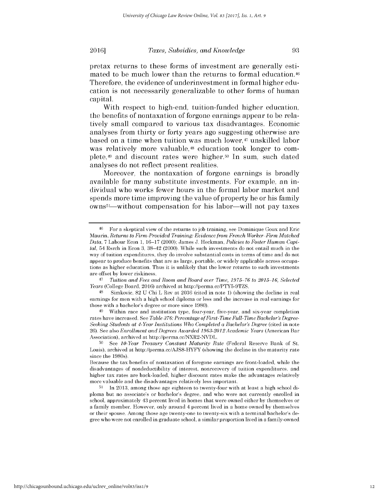pretax returns to these forms of investment are generally estimated to be much lower than the returns to formal education.46 Therefore, the evidence of underinvestment in formal higher education is not necessarily generalizable to other forms of human capital.

With respect to high-end, tuition-funded higher education, the benefits of nontaxation of forgone earnings appear to be relatively small compared to various tax disadvantages. Economic analyses from thirty or forty years ago suggesting otherwise are based on a time when tuition was much lower,<sup>47</sup> unskilled labor was relatively more valuable,<sup>48</sup> education took longer to complete,49 and discount rates were higher.50 In sum, such dated analyses do not reflect present realities.

Moreover, the nontaxation of forgone earnings is broadly available for many substitute investments. For example, an individual who works fewer hours in the formal labor market and spends more time improving the value of property he or his family owns<sup>51</sup>—without compensation for his labor—will not pay taxes

**<sup>46</sup>**For a skeptical view of the returns to **job** training, see Dominique Goux and Eric Maurin, *Returns to Firm-Provided Training: Evidence from French Worker-Firm Matched Data,* **7** Labour Econ **1, 16-17** (2000); James **J.** Heckman, *Policies to Foster Human Capital,* 54 Rsrch in Econ **3,** 38-42 (2000). While such investments do not entail much in the way of tuition expenditures, they do involve substantial costs in terms of time and do not appear to produce benefits that are as large, portable, or widely applicable across occupations as higher education. Thus **it** is unlikely that the lower returns to such investments are offset **by** lower riskiness.

<sup>47</sup>*Tuition and Fees and Room and Board over Time,* **19 75-76** *to 2015-16, Selected Years* (College Board, 2016) archived at http://perma.cc/PTY5-9TZS.<br>48 Simbovic 82 U Chi L Box at 2036 (cited in note 1) (showi

**<sup>48</sup>**Simkovic, **82 U** Chi L Rev at **2036** (cited in note **1)** (showing the decline in real earnings for men with a high school diploma or less and the increase in real earnings for those with a bachelor's degree or more since **1980).**

**<sup>49</sup>**Within race and institution type, four-year, five-year, and six-year completion rates have increased. **See** *Table 376: Percentage ofFirst-Time Full-Time Bachelor's Degree-Seeking Students at 4-Year Institutions Who Completed a Bachelor's Degree* (cited in note 26). **See** also *Enrollment and Degrees Awarded 1963-2012Academic Years* (American Bar Association), archived at http://perma.cc/NXR2-NVDL.

**<sup>50</sup>***See 10-Year Treasury Constant Maturity Rate* (Federal Reserve Bank of St. Louis), archived at http://perma.cc/AJS8-HYFY (showing the decline in the maturity rate since the 1980s).

Because the tax benefits of nontaxation of foregone earnings are front-loaded, while the disadvantages of nondeductibility of interest, nonrecovery of tuition expenditures, and higher tax rates are back-loaded, higher discount rates make the advantages relatively more valuable and the disadvantages relatively less important.

**<sup>51</sup>** In **2013,** among those age eighteen to twenty-four with at least a high school diploma but no associate's or bachelor's degree, and who were not currently enrolled in school, approximately 43 percent lived in homes that were owned either **by** themselves or a family member. However, only around 4 percent lived in a home owned **by** themselves or their spouse. Among those age twenty-one to twenty-six with a terminal bachelor's **de**gree who were not enrolled in graduate school, a similar proportion lived in a family-owned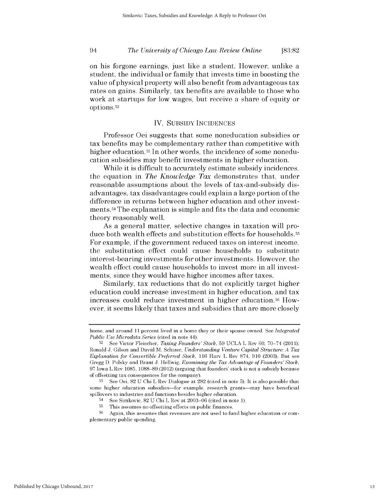on his forgone earnings, just like a student. However, unlike a student, the individual or family that invests time in boosting the value of physical property will also benefit from advantageous tax rates on gains. Similarly, tax benefits are available to those who work at startups for low wages, but receive a share of equity or options.52

## IV. **SUBSIDY INCIDENCES**

Professor Oei suggests that some noneducation subsidies or tax benefits may be complementary rather than competitive with higher education.<sup>53</sup> In other words, the incidence of some noneducation subsidies may benefit investments in higher education.

While it is difficult to accurately estimate subsidy incidences, the equation in *The Knowledge Tax* demonstrates that, under reasonable assumptions about the levels of tax-and-subsidy **dis**advantages, tax disadvantages could explain a large portion of the difference in returns between higher education and other investments. <sup>54</sup>The explanation is simple and fits the data and economic theory reasonably well.

As a general matter, selective changes in taxation will produce both wealth effects and substitution effects for households. 5 For example, **if** the government reduced taxes on interest income, the substitution effect could cause households to substitute interest-bearing investments for other investments. However, the wealth effect could cause households to invest more in all investments, since they would have higher incomes after taxes.

Similarly, tax reductions that do not explicitly target higher education could increase investment in higher education, and tax increases could reduce investment in higher education.<sup>56</sup> However, it seems likely that taxes and subsidies that are more closely

home, and around **11** percent lived in a home they or their spouse owned. **See** *Integrated Public Use Microdata Series* (cited in note 44).

**<sup>52</sup>See** Victor Fleischer, *Taxing Founders' Stock,* **59 UCLA** L Rev **60, 70-74 (2011);** Ronald **J.** Gilson and David M. Schizer, *Understanding Venture Capital Structure: A Tax Explanation for Convertible Preferred Stock, 116* Harv L Rev **874, 910 (2003).** But see Gregg **D.** Polsky and Brant **J.** Hellwig, *Examining the Tax Advantage of Founders' Stock,* **97** Iowa L Rev **1085, 1088-89** (2012) (arguing that founders' stock is not a subsidy because of offsetting tax consequences for the company).

**<sup>53</sup>**See Oei, **82 U** Chi L Rev Dialogue at **282** (cited in note **5).** It is also possible that some higher education subsidies-for example, research grants-may have beneficial spillovers to industries and functions besides higher education.

<sup>54</sup>See Simkovic, **82 U** Chi L Rev at **2003-06** (cited in note **1).**

**<sup>55</sup>**This assumes no offsetting effects on public finances.

**<sup>56</sup>** Again, this assumes that revenues are not used to fund higher education or complementary public spending.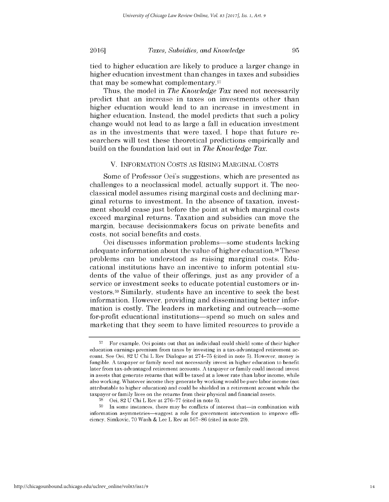tied to higher education are likely to produce a larger change in higher education investment than changes in taxes and subsidies that may be somewhat complementary. <sup>57</sup>

Thus, the model in *The Knowledge Tax* need not necessarily predict that an increase in taxes on investments other than higher education would lead to an increase in investment in higher education. Instead, the model predicts that such a policy change would not lead to as large a fall in education investment as in the investments that were taxed. **I** hope that future researchers will test these theoretical predictions empirically and build on the foundation laid out in *The Knowledge Tax.*

## V. INFORMATION **COSTS** AS RISING MARGINAL **COSTS**

Some of Professor Oei's suggestions, which are presented as challenges to a neoclassical model, actually support it. The neoclassical model assumes rising marginal costs and declining marginal returns to investment. In the absence of taxation, investment should cease just before the point at which marginal costs exceed marginal returns. Taxation and subsidies can move the margin, because decisionmakers focus on private benefits and costs, not social benefits and costs.

Oei discusses information problems-some students lacking adequate information about the value of higher education. 58These problems can be understood as raising marginal costs. Educational institutions have an incentive to inform potential students of the value of their offerings, just as any provider of a service or investment seeks to educate potential customers or investors.<sup>59</sup>Similarly, students have an incentive to seek the best information. However, providing and disseminating better information is costly. The leaders in marketing and outreach—some for-profit educational institutions-spend so much on sales and marketing that they seem to have limited resources to provide a

**<sup>57</sup>**For example, Oei points out that an individual could shield some of their higher education earnings premium from taxes **by** investing in a tax-advantaged retirement account. **See** Oei, **82 U** Chi L Rev Dialogue at **274-75** (cited in note **5).** However, money is fungible. **A** taxpayer or family need not necessarily invest in higher education to benefit later from tax-advantaged retirement accounts. **A** taxpayer or family could instead invest in assets that generate returns that will **be** taxed at a lower rate than labor income, while also working. Whatever income they generate **by** working would **be** pure labor income (not attributable to higher education) and could **be** shielded in a retirement account while the taxpayer or family lives on the returns from their physical and financial assets.

**<sup>58</sup>**Oei, **82 U** Chi L Rev at **276-77** (cited in note **5).**

**<sup>59</sup>**In some instances, there may **be** conflicts of interest that-in combination with information asymmetries-suggest a role for government intervention to improve **effi**ciency. Simkovic, **70** Wash **&** Lee L Rev at **567-86** (cited in note **29).**